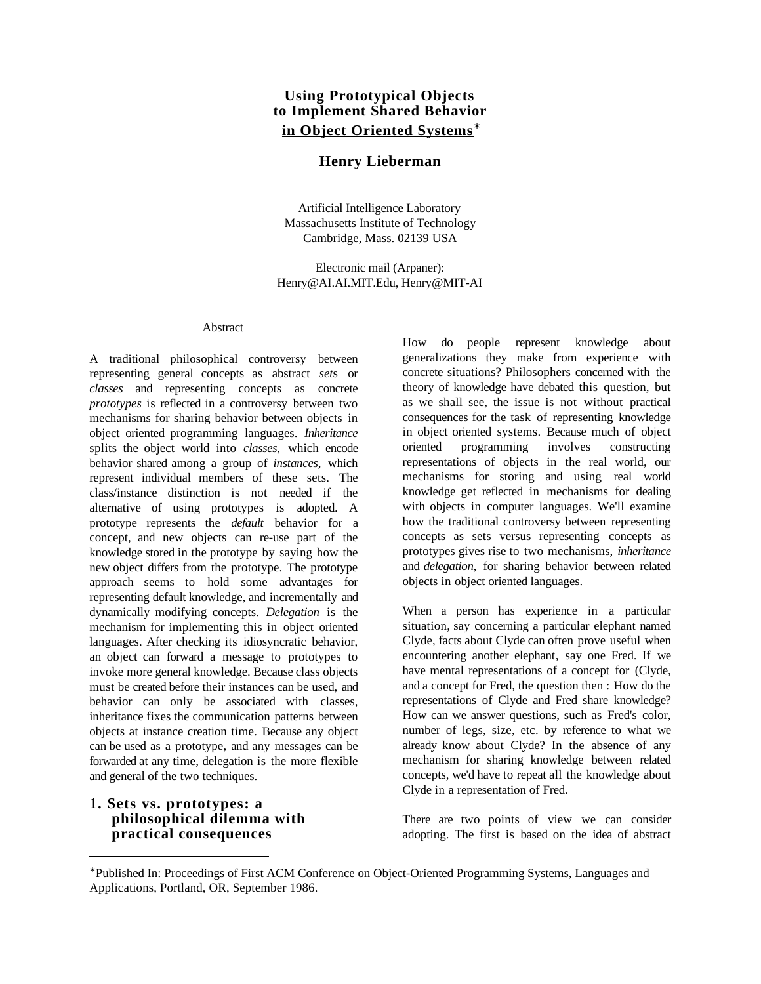# **Using Prototypical Objects to Implement Shared Behavior in Object Oriented Systems**\*

#### **Henry Lieberman**

Artificial Intelligence Laboratory Massachusetts Institute of Technology Cambridge, Mass. 02139 USA

Electronic mail (Arpaner): Henry@AI.AI.MIT.Edu, Henry@MIT-AI

#### Abstract

A traditional philosophical controversy between representing general concepts as abstract *set*s or *classes* and representing concepts as concrete *prototypes* is reflected in a controversy between two mechanisms for sharing behavior between objects in object oriented programming languages. *Inheritance* splits the object world into *classes*, which encode behavior shared among a group of *instances*, which represent individual members of these sets. The class/instance distinction is not needed if the alternative of using prototypes is adopted. A prototype represents the *default* behavior for a concept, and new objects can re-use part of the knowledge stored in the prototype by saying how the new object differs from the prototype. The prototype approach seems to hold some advantages for representing default knowledge, and incrementally and dynamically modifying concepts. *Delegation* is the mechanism for implementing this in object oriented languages. After checking its idiosyncratic behavior, an object can forward a message to prototypes to invoke more general knowledge. Because class objects must be created before their instances can be used, and behavior can only be associated with classes, inheritance fixes the communication patterns between objects at instance creation time. Because any object can be used as a prototype, and any messages can be forwarded at any time, delegation is the more flexible and general of the two techniques.

#### **1. Sets vs. prototypes: a philosophical dilemma with practical consequences**

 $\overline{a}$ 

How do people represent knowledge about generalizations they make from experience with concrete situations? Philosophers concerned with the theory of knowledge have debated this question, but as we shall see, the issue is not without practical consequences for the task of representing knowledge in object oriented systems. Because much of object oriented programming involves constructing representations of objects in the real world, our mechanisms for storing and using real world knowledge get reflected in mechanisms for dealing with objects in computer languages. We'll examine how the traditional controversy between representing concepts as sets versus representing concepts as prototypes gives rise to two mechanisms, *inheritance* and *delegation*, for sharing behavior between related objects in object oriented languages.

When a person has experience in a particular situation, say concerning a particular elephant named Clyde, facts about Clyde can often prove useful when encountering another elephant, say one Fred. If we have mental representations of a concept for (Clyde, and a concept for Fred, the question then : How do the representations of Clyde and Fred share knowledge? How can we answer questions, such as Fred's color, number of legs, size, etc. by reference to what we already know about Clyde? In the absence of any mechanism for sharing knowledge between related concepts, we'd have to repeat all the knowledge about Clyde in a representation of Fred.

There are two points of view we can consider adopting. The first is based on the idea of abstract

<sup>∗</sup>Published In: Proceedings of First ACM Conference on Object-Oriented Programming Systems, Languages and Applications, Portland, OR, September 1986.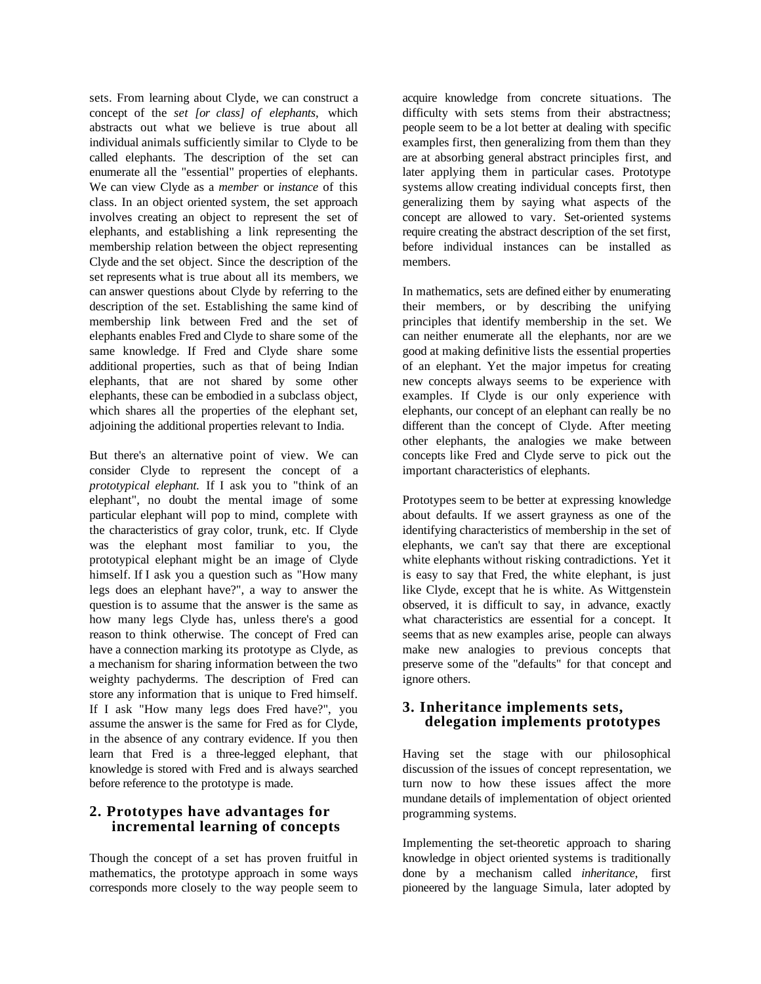sets. From learning about Clyde, we can construct a concept of the *set [or class] of elephants*, which abstracts out what we believe is true about all individual animals sufficiently similar to Clyde to be called elephants. The description of the set can enumerate all the "essential" properties of elephants. We can view Clyde as a *member* or *instance* of this class. In an object oriented system, the set approach involves creating an object to represent the set of elephants, and establishing a link representing the membership relation between the object representing Clyde and the set object. Since the description of the set represents what is true about all its members, we can answer questions about Clyde by referring to the description of the set. Establishing the same kind of membership link between Fred and the set of elephants enables Fred and Clyde to share some of the same knowledge. If Fred and Clyde share some additional properties, such as that of being Indian elephants, that are not shared by some other elephants, these can be embodied in a subclass object, which shares all the properties of the elephant set, adjoining the additional properties relevant to India.

But there's an alternative point of view. We can consider Clyde to represent the concept of a *prototypical elephant*. If I ask you to "think of an elephant", no doubt the mental image of some particular elephant will pop to mind, complete with the characteristics of gray color, trunk, etc. If Clyde was the elephant most familiar to you, the prototypical elephant might be an image of Clyde himself. If I ask you a question such as "How many legs does an elephant have?", a way to answer the question is to assume that the answer is the same as how many legs Clyde has, unless there's a good reason to think otherwise. The concept of Fred can have a connection marking its prototype as Clyde, as a mechanism for sharing information between the two weighty pachyderms. The description of Fred can store any information that is unique to Fred himself. If I ask "How many legs does Fred have?", you assume the answer is the same for Fred as for Clyde, in the absence of any contrary evidence. If you then learn that Fred is a three-legged elephant, that knowledge is stored with Fred and is always searched before reference to the prototype is made.

### **2. Prototypes have advantages for incremental learning of concepts**

Though the concept of a set has proven fruitful in mathematics, the prototype approach in some ways corresponds more closely to the way people seem to

acquire knowledge from concrete situations. The difficulty with sets stems from their abstractness; people seem to be a lot better at dealing with specific examples first, then generalizing from them than they are at absorbing general abstract principles first, and later applying them in particular cases. Prototype systems allow creating individual concepts first, then generalizing them by saying what aspects of the concept are allowed to vary. Set-oriented systems require creating the abstract description of the set first, before individual instances can be installed as members.

In mathematics, sets are defined either by enumerating their members, or by describing the unifying principles that identify membership in the set. We can neither enumerate all the elephants, nor are we good at making definitive lists the essential properties of an elephant. Yet the major impetus for creating new concepts always seems to be experience with examples. If Clyde is our only experience with elephants, our concept of an elephant can really be no different than the concept of Clyde. After meeting other elephants, the analogies we make between concepts like Fred and Clyde serve to pick out the important characteristics of elephants.

Prototypes seem to be better at expressing knowledge about defaults. If we assert grayness as one of the identifying characteristics of membership in the set of elephants, we can't say that there are exceptional white elephants without risking contradictions. Yet it is easy to say that Fred, the white elephant, is just like Clyde, except that he is white. As Wittgenstein observed, it is difficult to say, in advance, exactly what characteristics are essential for a concept. It seems that as new examples arise, people can always make new analogies to previous concepts that preserve some of the "defaults" for that concept and ignore others.

### **3. Inheritance implements sets, delegation implements prototypes**

Having set the stage with our philosophical discussion of the issues of concept representation, we turn now to how these issues affect the more mundane details of implementation of object oriented programming systems.

Implementing the set-theoretic approach to sharing knowledge in object oriented systems is traditionally done by a mechanism called *inheritance*, first pioneered by the language Simula, later adopted by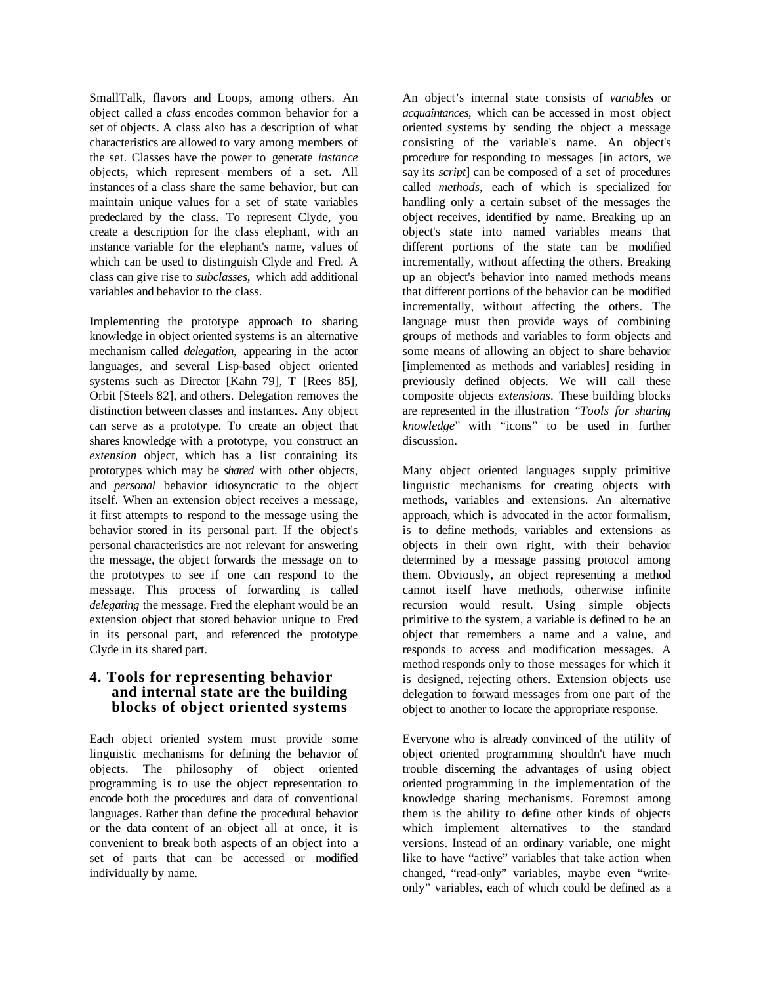SmallTalk, flavors and Loops, among others. An object called a *class* encodes common behavior for a set of objects. A class also has a description of what characteristics are allowed to vary among members of the set. Classes have the power to generate *instance* objects, which represent members of a set. All instances of a class share the same behavior, but can maintain unique values for a set of state variables predeclared by the class. To represent Clyde, you create a description for the class elephant, with an instance variable for the elephant's name, values of which can be used to distinguish Clyde and Fred. A class can give rise to *subclasses*, which add additional variables and behavior to the class.

Implementing the prototype approach to sharing knowledge in object oriented systems is an alternative mechanism called *delegation*, appearing in the actor languages, and several Lisp-based object oriented systems such as Director [Kahn 79], T [Rees 85], Orbit [Steels 82], and others. Delegation removes the distinction between classes and instances. Any object can serve as a prototype. To create an object that shares knowledge with a prototype, you construct an *extension* object, which has a list containing its prototypes which may be *shared* with other objects, and *personal* behavior idiosyncratic to the object itself. When an extension object receives a message, it first attempts to respond to the message using the behavior stored in its personal part. If the object's personal characteristics are not relevant for answering the message, the object forwards the message on to the prototypes to see if one can respond to the message. This process of forwarding is called *delegating* the message. Fred the elephant would be an extension object that stored behavior unique to Fred in its personal part, and referenced the prototype Clyde in its shared part.

# **4. Tools for representing behavior and internal state are the building blocks of object oriented systems**

Each object oriented system must provide some linguistic mechanisms for defining the behavior of objects. The philosophy of object oriented programming is to use the object representation to encode both the procedures and data of conventional languages. Rather than define the procedural behavior or the data content of an object all at once, it is convenient to break both aspects of an object into a set of parts that can be accessed or modified individually by name.

An object's internal state consists of *variables* or *acquaintances*, which can be accessed in most object oriented systems by sending the object a message consisting of the variable's name. An object's procedure for responding to messages [in actors, we say its *script* can be composed of a set of procedures called *methods*, each of which is specialized for handling only a certain subset of the messages the object receives, identified by name. Breaking up an object's state into named variables means that different portions of the state can be modified incrementally, without affecting the others. Breaking up an object's behavior into named methods means that different portions of the behavior can be modified incrementally, without affecting the others. The language must then provide ways of combining groups of methods and variables to form objects and some means of allowing an object to share behavior [implemented as methods and variables] residing in previously defined objects. We will call these composite objects *extensions*. These building blocks are represented in the illustration "*Tools for sharing knowledge*" with "icons" to be used in further discussion.

Many object oriented languages supply primitive linguistic mechanisms for creating objects with methods, variables and extensions. An alternative approach, which is advocated in the actor formalism, is to define methods, variables and extensions as objects in their own right, with their behavior determined by a message passing protocol among them. Obviously, an object representing a method cannot itself have methods, otherwise infinite recursion would result. Using simple objects primitive to the system, a variable is defined to be an object that remembers a name and a value, and responds to access and modification messages. A method responds only to those messages for which it is designed, rejecting others. Extension objects use delegation to forward messages from one part of the object to another to locate the appropriate response.

Everyone who is already convinced of the utility of object oriented programming shouldn't have much trouble discerning the advantages of using object oriented programming in the implementation of the knowledge sharing mechanisms. Foremost among them is the ability to define other kinds of objects which implement alternatives to the standard versions. Instead of an ordinary variable, one might like to have "active" variables that take action when changed, "read-only" variables, maybe even "writeonly" variables, each of which could be defined as a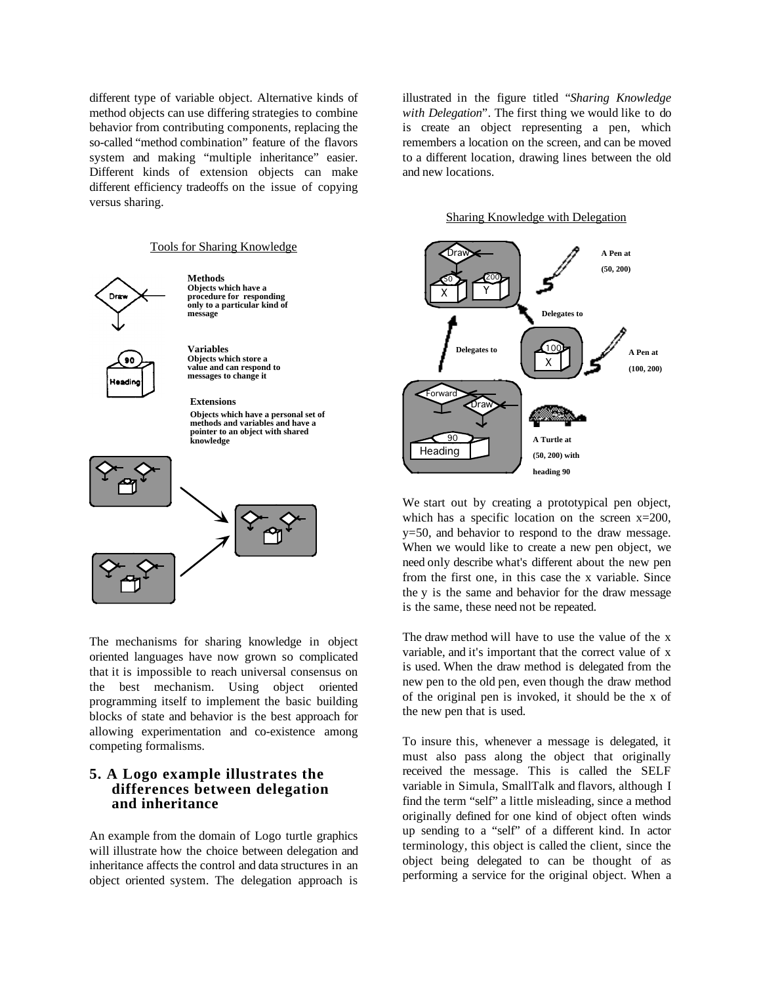different type of variable object. Alternative kinds of method objects can use differing strategies to combine behavior from contributing components, replacing the so-called "method combination" feature of the flavors system and making "multiple inheritance" easier. Different kinds of extension objects can make different efficiency tradeoffs on the issue of copying versus sharing.

#### Tools for Sharing Knowledge



**Methods Objects which have a procedure for responding only to a particular kind of message**



**Variables Objects which store a**

**value and can respond to messages to change it**

#### **Extensions**

**Objects which have a personal set of methods and variables and have a pointer to an object with shared knowledge**



The mechanisms for sharing knowledge in object oriented languages have now grown so complicated that it is impossible to reach universal consensus on the best mechanism. Using object oriented programming itself to implement the basic building blocks of state and behavior is the best approach for allowing experimentation and co-existence among competing formalisms.

#### **5. A Logo example illustrates the differences between delegation and inheritance**

An example from the domain of Logo turtle graphics will illustrate how the choice between delegation and inheritance affects the control and data structures in an object oriented system. The delegation approach is

illustrated in the figure titled "*Sharing Knowledge with Delegation*". The first thing we would like to do is create an object representing a pen, which remembers a location on the screen, and can be moved to a different location, drawing lines between the old and new locations.

#### Sharing Knowledge with Delegation



We start out by creating a prototypical pen object, which has a specific location on the screen  $x=200$ , y=50, and behavior to respond to the draw message. When we would like to create a new pen object, we need only describe what's different about the new pen from the first one, in this case the x variable. Since the y is the same and behavior for the draw message is the same, these need not be repeated.

The draw method will have to use the value of the x variable, and it's important that the correct value of x is used. When the draw method is delegated from the new pen to the old pen, even though the draw method of the original pen is invoked, it should be the x of the new pen that is used.

To insure this, whenever a message is delegated, it must also pass along the object that originally received the message. This is called the SELF variable in Simula, SmallTalk and flavors, although I find the term "self" a little misleading, since a method originally defined for one kind of object often winds up sending to a "self" of a different kind. In actor terminology, this object is called the client, since the object being delegated to can be thought of as performing a service for the original object. When a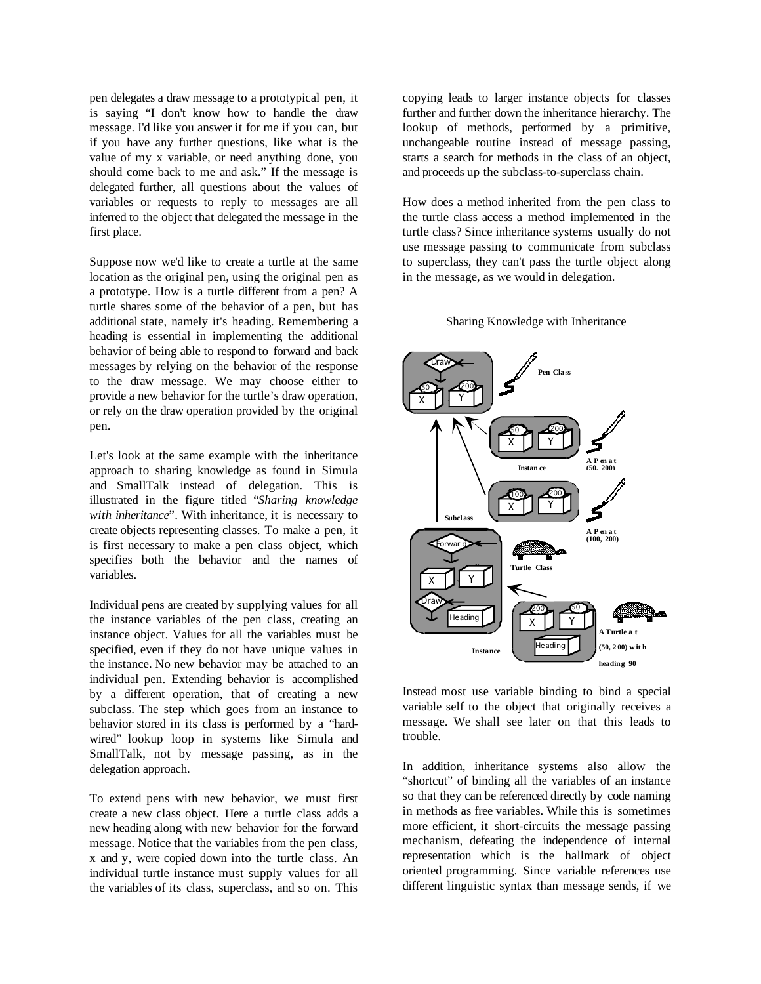pen delegates a draw message to a prototypical pen, it is saying "I don't know how to handle the draw message. I'd like you answer it for me if you can, but if you have any further questions, like what is the value of my x variable, or need anything done, you should come back to me and ask." If the message is delegated further, all questions about the values of variables or requests to reply to messages are all inferred to the object that delegated the message in the first place.

Suppose now we'd like to create a turtle at the same location as the original pen, using the original pen as a prototype. How is a turtle different from a pen? A turtle shares some of the behavior of a pen, but has additional state, namely it's heading. Remembering a heading is essential in implementing the additional behavior of being able to respond to forward and back messages by relying on the behavior of the response to the draw message. We may choose either to provide a new behavior for the turtle's draw operation, or rely on the draw operation provided by the original pen.

Let's look at the same example with the inheritance approach to sharing knowledge as found in Simula and SmallTalk instead of delegation. This is illustrated in the figure titled "*Sharing knowledge with inheritance*". With inheritance, it is necessary to create objects representing classes. To make a pen, it is first necessary to make a pen class object, which specifies both the behavior and the names of variables.

Individual pens are created by supplying values for all the instance variables of the pen class, creating an instance object. Values for all the variables must be specified, even if they do not have unique values in the instance. No new behavior may be attached to an individual pen. Extending behavior is accomplished by a different operation, that of creating a new subclass. The step which goes from an instance to behavior stored in its class is performed by a "hardwired" lookup loop in systems like Simula and SmallTalk, not by message passing, as in the delegation approach.

To extend pens with new behavior, we must first create a new class object. Here a turtle class adds a new heading along with new behavior for the forward message. Notice that the variables from the pen class, x and y, were copied down into the turtle class. An individual turtle instance must supply values for all the variables of its class, superclass, and so on. This

copying leads to larger instance objects for classes further and further down the inheritance hierarchy. The lookup of methods, performed by a primitive, unchangeable routine instead of message passing, starts a search for methods in the class of an object, and proceeds up the subclass-to-superclass chain.

How does a method inherited from the pen class to the turtle class access a method implemented in the turtle class? Since inheritance systems usually do not use message passing to communicate from subclass to superclass, they can't pass the turtle object along in the message, as we would in delegation.

#### Sharing Knowledge with Inheritance



Instead most use variable binding to bind a special variable self to the object that originally receives a message. We shall see later on that this leads to trouble.

In addition, inheritance systems also allow the "shortcut" of binding all the variables of an instance so that they can be referenced directly by code naming in methods as free variables. While this is sometimes more efficient, it short-circuits the message passing mechanism, defeating the independence of internal representation which is the hallmark of object oriented programming. Since variable references use different linguistic syntax than message sends, if we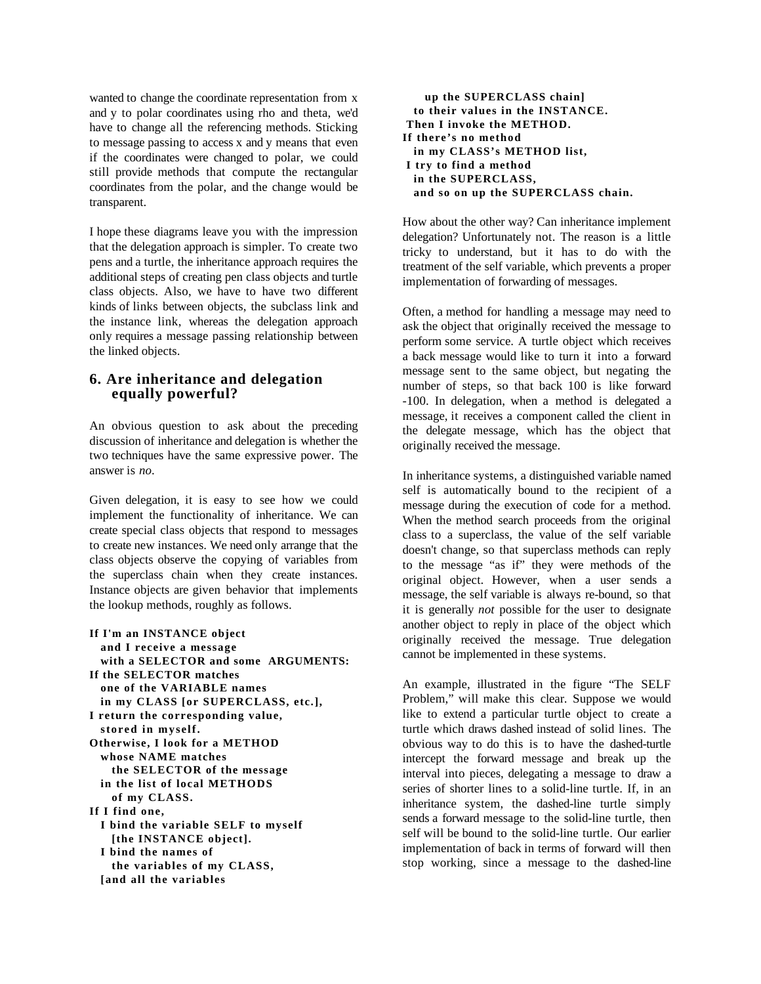wanted to change the coordinate representation from x and y to polar coordinates using rho and theta, we'd have to change all the referencing methods. Sticking to message passing to access x and y means that even if the coordinates were changed to polar, we could still provide methods that compute the rectangular coordinates from the polar, and the change would be transparent.

I hope these diagrams leave you with the impression that the delegation approach is simpler. To create two pens and a turtle, the inheritance approach requires the additional steps of creating pen class objects and turtle class objects. Also, we have to have two different kinds of links between objects, the subclass link and the instance link, whereas the delegation approach only requires a message passing relationship between the linked objects.

#### **6. Are inheritance and delegation equally powerful?**

An obvious question to ask about the preceding discussion of inheritance and delegation is whether the two techniques have the same expressive power. The answer is *no*.

Given delegation, it is easy to see how we could implement the functionality of inheritance. We can create special class objects that respond to messages to create new instances. We need only arrange that the class objects observe the copying of variables from the superclass chain when they create instances. Instance objects are given behavior that implements the lookup methods, roughly as follows.

```
If I'm an INSTANCE object
 and I receive a message
 with a SELECTOR and some ARGUMENTS:
If the SELECTOR matches
 one of the VARIABLE names
 in my CLASS [or SUPERCLASS, etc.],
I return the corresponding value,
 stored in myself.
Otherwise, I look for a METHOD
 whose NAME matches
   the SELECTOR of the message
 in the list of local METHODS
   of my CLASS.
If I find one,
 I bind the variable SELF to myself
   [the INSTANCE object].
 I bind the names of
   the variables of my CLASS,
 [and all the variables
```

```
up the SUPERCLASS chain]
 to their values in the INSTANCE.
 Then I invoke the METHOD.
If there's no method
 in my CLASS's METHOD list,
 I try to find a method
 in the SUPERCLASS,
 and so on up the SUPERCLASS chain.
```
How about the other way? Can inheritance implement delegation? Unfortunately not. The reason is a little tricky to understand, but it has to do with the treatment of the self variable, which prevents a proper implementation of forwarding of messages.

Often, a method for handling a message may need to ask the object that originally received the message to perform some service. A turtle object which receives a back message would like to turn it into a forward message sent to the same object, but negating the number of steps, so that back 100 is like forward -100. In delegation, when a method is delegated a message, it receives a component called the client in the delegate message, which has the object that originally received the message.

In inheritance systems, a distinguished variable named self is automatically bound to the recipient of a message during the execution of code for a method. When the method search proceeds from the original class to a superclass, the value of the self variable doesn't change, so that superclass methods can reply to the message "as if" they were methods of the original object. However, when a user sends a message, the self variable is always re-bound, so that it is generally *not* possible for the user to designate another object to reply in place of the object which originally received the message. True delegation cannot be implemented in these systems.

An example, illustrated in the figure "The SELF Problem," will make this clear. Suppose we would like to extend a particular turtle object to create a turtle which draws dashed instead of solid lines. The obvious way to do this is to have the dashed-turtle intercept the forward message and break up the interval into pieces, delegating a message to draw a series of shorter lines to a solid-line turtle. If, in an inheritance system, the dashed-line turtle simply sends a forward message to the solid-line turtle, then self will be bound to the solid-line turtle. Our earlier implementation of back in terms of forward will then stop working, since a message to the dashed-line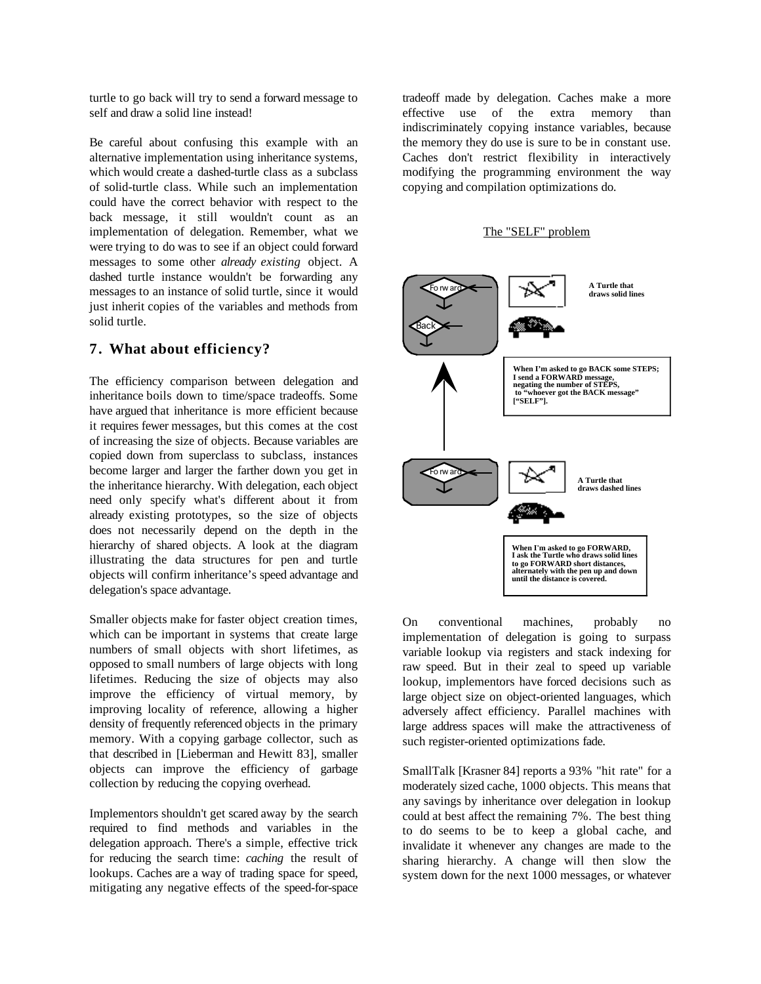turtle to go back will try to send a forward message to self and draw a solid line instead!

Be careful about confusing this example with an alternative implementation using inheritance systems, which would create a dashed-turtle class as a subclass of solid-turtle class. While such an implementation could have the correct behavior with respect to the back message, it still wouldn't count as an implementation of delegation. Remember, what we were trying to do was to see if an object could forward messages to some other *already existing* object. A dashed turtle instance wouldn't be forwarding any messages to an instance of solid turtle, since it would just inherit copies of the variables and methods from solid turtle.

#### **7. What about efficiency?**

The efficiency comparison between delegation and inheritance boils down to time/space tradeoffs. Some have argued that inheritance is more efficient because it requires fewer messages, but this comes at the cost of increasing the size of objects. Because variables are copied down from superclass to subclass, instances become larger and larger the farther down you get in the inheritance hierarchy. With delegation, each object need only specify what's different about it from already existing prototypes, so the size of objects does not necessarily depend on the depth in the hierarchy of shared objects. A look at the diagram illustrating the data structures for pen and turtle objects will confirm inheritance's speed advantage and delegation's space advantage.

Smaller objects make for faster object creation times, which can be important in systems that create large numbers of small objects with short lifetimes, as opposed to small numbers of large objects with long lifetimes. Reducing the size of objects may also improve the efficiency of virtual memory, by improving locality of reference, allowing a higher density of frequently referenced objects in the primary memory. With a copying garbage collector, such as that described in [Lieberman and Hewitt 83], smaller objects can improve the efficiency of garbage collection by reducing the copying overhead.

Implementors shouldn't get scared away by the search required to find methods and variables in the delegation approach. There's a simple, effective trick for reducing the search time: *caching* the result of lookups. Caches are a way of trading space for speed, mitigating any negative effects of the speed-for-space

tradeoff made by delegation. Caches make a more effective use of the extra memory than indiscriminately copying instance variables, because the memory they do use is sure to be in constant use. Caches don't restrict flexibility in interactively modifying the programming environment the way copying and compilation optimizations do.

#### The "SELF" problem



On conventional machines, probably no implementation of delegation is going to surpass variable lookup via registers and stack indexing for raw speed. But in their zeal to speed up variable lookup, implementors have forced decisions such as large object size on object-oriented languages, which adversely affect efficiency. Parallel machines with large address spaces will make the attractiveness of such register-oriented optimizations fade.

SmallTalk [Krasner 84] reports a 93% "hit rate" for a moderately sized cache, 1000 objects. This means that any savings by inheritance over delegation in lookup could at best affect the remaining 7%. The best thing to do seems to be to keep a global cache, and invalidate it whenever any changes are made to the sharing hierarchy. A change will then slow the system down for the next 1000 messages, or whatever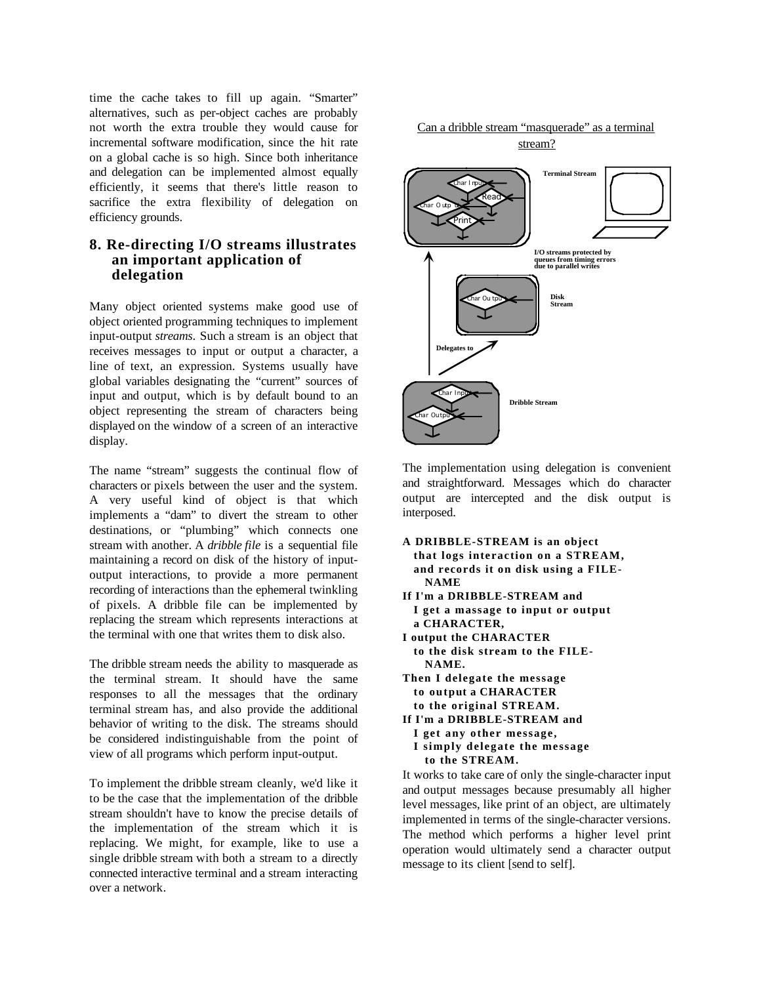time the cache takes to fill up again. "Smarter" alternatives, such as per-object caches are probably not worth the extra trouble they would cause for incremental software modification, since the hit rate on a global cache is so high. Since both inheritance and delegation can be implemented almost equally efficiently, it seems that there's little reason to sacrifice the extra flexibility of delegation on efficiency grounds.

### **8. Re-directing I/O streams illustrates an important application of delegation**

Many object oriented systems make good use of object oriented programming techniques to implement input-output *streams*. Such a stream is an object that receives messages to input or output a character, a line of text, an expression. Systems usually have global variables designating the "current" sources of input and output, which is by default bound to an object representing the stream of characters being displayed on the window of a screen of an interactive display.

The name "stream" suggests the continual flow of characters or pixels between the user and the system. A very useful kind of object is that which implements a "dam" to divert the stream to other destinations, or "plumbing" which connects one stream with another. A *dribble file* is a sequential file maintaining a record on disk of the history of inputoutput interactions, to provide a more permanent recording of interactions than the ephemeral twinkling of pixels. A dribble file can be implemented by replacing the stream which represents interactions at the terminal with one that writes them to disk also.

The dribble stream needs the ability to masquerade as the terminal stream. It should have the same responses to all the messages that the ordinary terminal stream has, and also provide the additional behavior of writing to the disk. The streams should be considered indistinguishable from the point of view of all programs which perform input-output.

To implement the dribble stream cleanly, we'd like it to be the case that the implementation of the dribble stream shouldn't have to know the precise details of the implementation of the stream which it is replacing. We might, for example, like to use a single dribble stream with both a stream to a directly connected interactive terminal and a stream interacting over a network.



The implementation using delegation is convenient and straightforward. Messages which do character output are intercepted and the disk output is interposed.

- **A DRIBBLE-STREAM is an object that logs interaction on a STREAM, and records it on disk using a FILE-NAME**
- **If I'm a DRIBBLE-STREAM and I get a massage to input or output a CHARACTER,**
- **I output the CHARACTER to the disk stream to the FILE-NAME.**
- **Then I delegate the message to output a CHARACTER to the original STREAM.**
- **If I'm a DRIBBLE-STREAM and I get any other message, I simply delegate the message to the STREAM.**

It works to take care of only the single-character input and output messages because presumably all higher level messages, like print of an object, are ultimately implemented in terms of the single-character versions. The method which performs a higher level print operation would ultimately send a character output message to its client [send to self].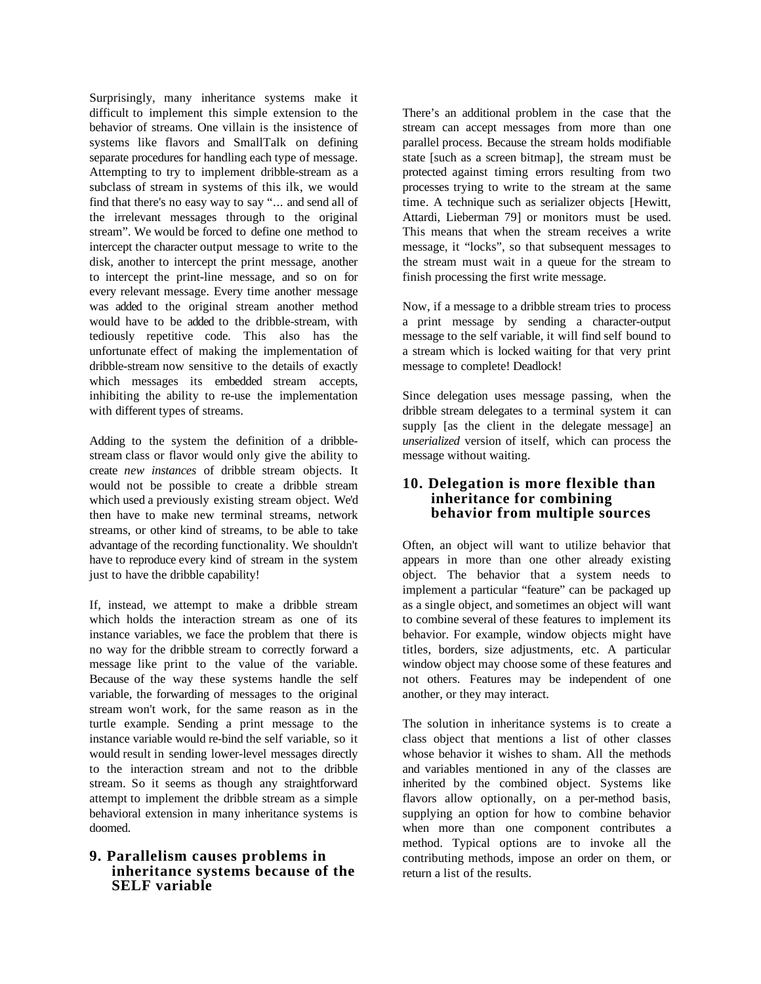Surprisingly, many inheritance systems make it difficult to implement this simple extension to the behavior of streams. One villain is the insistence of systems like flavors and SmallTalk on defining separate procedures for handling each type of message. Attempting to try to implement dribble-stream as a subclass of stream in systems of this ilk, we would find that there's no easy way to say "... and send all of the irrelevant messages through to the original stream". We would be forced to define one method to intercept the character output message to write to the disk, another to intercept the print message, another to intercept the print-line message, and so on for every relevant message. Every time another message was added to the original stream another method would have to be added to the dribble-stream, with tediously repetitive code. This also has the unfortunate effect of making the implementation of dribble-stream now sensitive to the details of exactly which messages its embedded stream accepts, inhibiting the ability to re-use the implementation with different types of streams.

Adding to the system the definition of a dribblestream class or flavor would only give the ability to create *new instances* of dribble stream objects. It would not be possible to create a dribble stream which used a previously existing stream object. We'd then have to make new terminal streams, network streams, or other kind of streams, to be able to take advantage of the recording functionality. We shouldn't have to reproduce every kind of stream in the system just to have the dribble capability!

If, instead, we attempt to make a dribble stream which holds the interaction stream as one of its instance variables, we face the problem that there is no way for the dribble stream to correctly forward a message like print to the value of the variable. Because of the way these systems handle the self variable, the forwarding of messages to the original stream won't work, for the same reason as in the turtle example. Sending a print message to the instance variable would re-bind the self variable, so it would result in sending lower-level messages directly to the interaction stream and not to the dribble stream. So it seems as though any straightforward attempt to implement the dribble stream as a simple behavioral extension in many inheritance systems is doomed.

### **9. Parallelism causes problems in inheritance systems because of the SELF variable**

There's an additional problem in the case that the stream can accept messages from more than one parallel process. Because the stream holds modifiable state [such as a screen bitmap], the stream must be protected against timing errors resulting from two processes trying to write to the stream at the same time. A technique such as serializer objects [Hewitt, Attardi, Lieberman 79] or monitors must be used. This means that when the stream receives a write message, it "locks", so that subsequent messages to the stream must wait in a queue for the stream to finish processing the first write message.

Now, if a message to a dribble stream tries to process a print message by sending a character-output message to the self variable, it will find self bound to a stream which is locked waiting for that very print message to complete! Deadlock!

Since delegation uses message passing, when the dribble stream delegates to a terminal system it can supply [as the client in the delegate message] an *unserialized* version of itself, which can process the message without waiting.

# **10. Delegation is more flexible than inheritance for combining behavior from multiple sources**

Often, an object will want to utilize behavior that appears in more than one other already existing object. The behavior that a system needs to implement a particular "feature" can be packaged up as a single object, and sometimes an object will want to combine several of these features to implement its behavior. For example, window objects might have titles, borders, size adjustments, etc. A particular window object may choose some of these features and not others. Features may be independent of one another, or they may interact.

The solution in inheritance systems is to create a class object that mentions a list of other classes whose behavior it wishes to sham. All the methods and variables mentioned in any of the classes are inherited by the combined object. Systems like flavors allow optionally, on a per-method basis, supplying an option for how to combine behavior when more than one component contributes a method. Typical options are to invoke all the contributing methods, impose an order on them, or return a list of the results.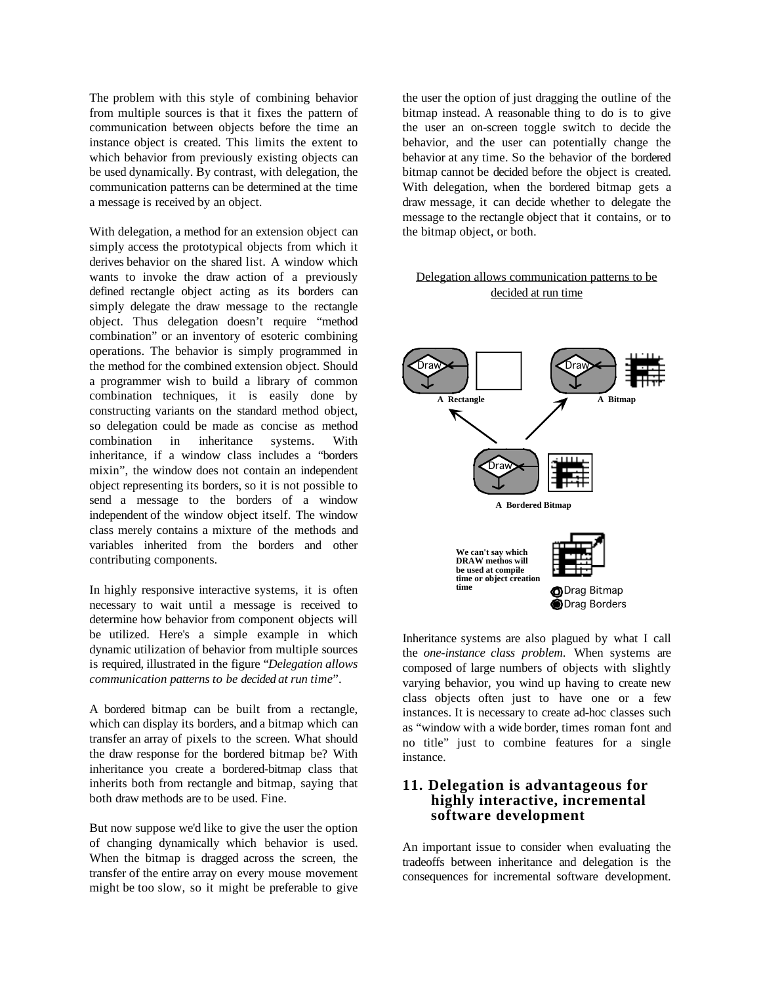The problem with this style of combining behavior from multiple sources is that it fixes the pattern of communication between objects before the time an instance object is created. This limits the extent to which behavior from previously existing objects can be used dynamically. By contrast, with delegation, the communication patterns can be determined at the time a message is received by an object.

With delegation, a method for an extension object can simply access the prototypical objects from which it derives behavior on the shared list. A window which wants to invoke the draw action of a previously defined rectangle object acting as its borders can simply delegate the draw message to the rectangle object. Thus delegation doesn't require "method combination" or an inventory of esoteric combining operations. The behavior is simply programmed in the method for the combined extension object. Should a programmer wish to build a library of common combination techniques, it is easily done by constructing variants on the standard method object, so delegation could be made as concise as method combination in inheritance systems. With inheritance, if a window class includes a "borders mixin", the window does not contain an independent object representing its borders, so it is not possible to send a message to the borders of a window independent of the window object itself. The window class merely contains a mixture of the methods and variables inherited from the borders and other contributing components.

In highly responsive interactive systems, it is often necessary to wait until a message is received to determine how behavior from component objects will be utilized. Here's a simple example in which dynamic utilization of behavior from multiple sources is required, illustrated in the figure "*Delegation allows communication patterns to be decided at run time*".

A bordered bitmap can be built from a rectangle, which can display its borders, and a bitmap which can transfer an array of pixels to the screen. What should the draw response for the bordered bitmap be? With inheritance you create a bordered-bitmap class that inherits both from rectangle and bitmap, saying that both draw methods are to be used. Fine.

But now suppose we'd like to give the user the option of changing dynamically which behavior is used. When the bitmap is dragged across the screen, the transfer of the entire array on every mouse movement might be too slow, so it might be preferable to give

the user the option of just dragging the outline of the bitmap instead. A reasonable thing to do is to give the user an on-screen toggle switch to decide the behavior, and the user can potentially change the behavior at any time. So the behavior of the bordered bitmap cannot be decided before the object is created. With delegation, when the bordered bitmap gets a draw message, it can decide whether to delegate the message to the rectangle object that it contains, or to the bitmap object, or both.

#### Delegation allows communication patterns to be decided at run time



Inheritance systems are also plagued by what I call the *one-instance class problem*. When systems are composed of large numbers of objects with slightly varying behavior, you wind up having to create new class objects often just to have one or a few instances. It is necessary to create ad-hoc classes such as "window with a wide border, times roman font and no title" just to combine features for a single instance.

#### **11. Delegation is advantageous for highly interactive, incremental software development**

An important issue to consider when evaluating the tradeoffs between inheritance and delegation is the consequences for incremental software development.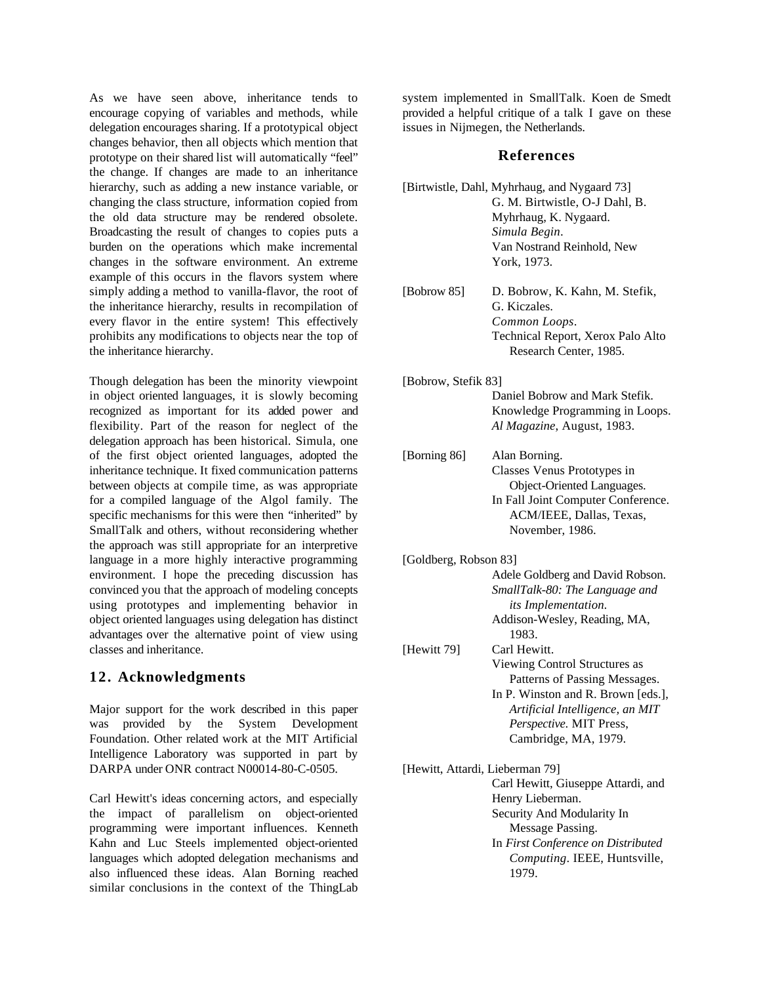As we have seen above, inheritance tends to encourage copying of variables and methods, while delegation encourages sharing. If a prototypical object changes behavior, then all objects which mention that prototype on their shared list will automatically "feel" the change. If changes are made to an inheritance hierarchy, such as adding a new instance variable, or changing the class structure, information copied from the old data structure may be rendered obsolete. Broadcasting the result of changes to copies puts a burden on the operations which make incremental changes in the software environment. An extreme example of this occurs in the flavors system where simply adding a method to vanilla-flavor, the root of the inheritance hierarchy, results in recompilation of every flavor in the entire system! This effectively prohibits any modifications to objects near the top of the inheritance hierarchy.

Though delegation has been the minority viewpoint in object oriented languages, it is slowly becoming recognized as important for its added power and flexibility. Part of the reason for neglect of the delegation approach has been historical. Simula, one of the first object oriented languages, adopted the inheritance technique. It fixed communication patterns between objects at compile time, as was appropriate for a compiled language of the Algol family. The specific mechanisms for this were then "inherited" by SmallTalk and others, without reconsidering whether the approach was still appropriate for an interpretive language in a more highly interactive programming environment. I hope the preceding discussion has convinced you that the approach of modeling concepts using prototypes and implementing behavior in object oriented languages using delegation has distinct advantages over the alternative point of view using classes and inheritance.

### **12. Acknowledgments**

Major support for the work described in this paper was provided by the System Development Foundation. Other related work at the MIT Artificial Intelligence Laboratory was supported in part by DARPA under ONR contract N00014-80-C-0505.

Carl Hewitt's ideas concerning actors, and especially the impact of parallelism on object-oriented programming were important influences. Kenneth Kahn and Luc Steels implemented object-oriented languages which adopted delegation mechanisms and also influenced these ideas. Alan Borning reached similar conclusions in the context of the ThingLab

system implemented in SmallTalk. Koen de Smedt provided a helpful critique of a talk I gave on these issues in Nijmegen, the Netherlands.

#### **References**

|                       | [Birtwistle, Dahl, Myhrhaug, and Nygaard 73]<br>G. M. Birtwistle, O-J Dahl, B.<br>Myhrhaug, K. Nygaard.<br>Simula Begin.<br>Van Nostrand Reinhold, New<br>York, 1973.                                                      |
|-----------------------|----------------------------------------------------------------------------------------------------------------------------------------------------------------------------------------------------------------------------|
| [Bobrow 85]           | D. Bobrow, K. Kahn, M. Stefik,<br>G. Kiczales.<br>Common Loops.<br>Technical Report, Xerox Palo Alto<br>Research Center, 1985.                                                                                             |
| [Bobrow, Stefik 83]   |                                                                                                                                                                                                                            |
|                       | Daniel Bobrow and Mark Stefik.<br>Knowledge Programming in Loops.<br>Al Magazine, August, 1983.                                                                                                                            |
| [Borning 86]          | Alan Borning.<br>Classes Venus Prototypes in<br>Object-Oriented Languages.<br>In Fall Joint Computer Conference.<br>ACM/IEEE, Dallas, Texas,<br>November, 1986.                                                            |
| [Goldberg, Robson 83] |                                                                                                                                                                                                                            |
|                       | Adele Goldberg and David Robson.<br>SmallTalk-80: The Language and<br>its Implementation.<br>Addison-Wesley, Reading, MA,<br>1983.                                                                                         |
| [Hewitt 79]           | Carl Hewitt.<br>Viewing Control Structures as<br>Patterns of Passing Messages.<br>In P. Winston and R. Brown [eds.],<br>Artificial Intelligence, an MIT<br>Perspective. MIT Press,<br>Cambridge, MA, 1979.                 |
|                       | [Hewitt, Attardi, Lieberman 79]<br>Carl Hewitt, Giuseppe Attardi, and<br>Henry Lieberman.<br>Security And Modularity In<br>Message Passing.<br>In First Conference on Distributed<br>Computing. IEEE, Huntsville,<br>1979. |